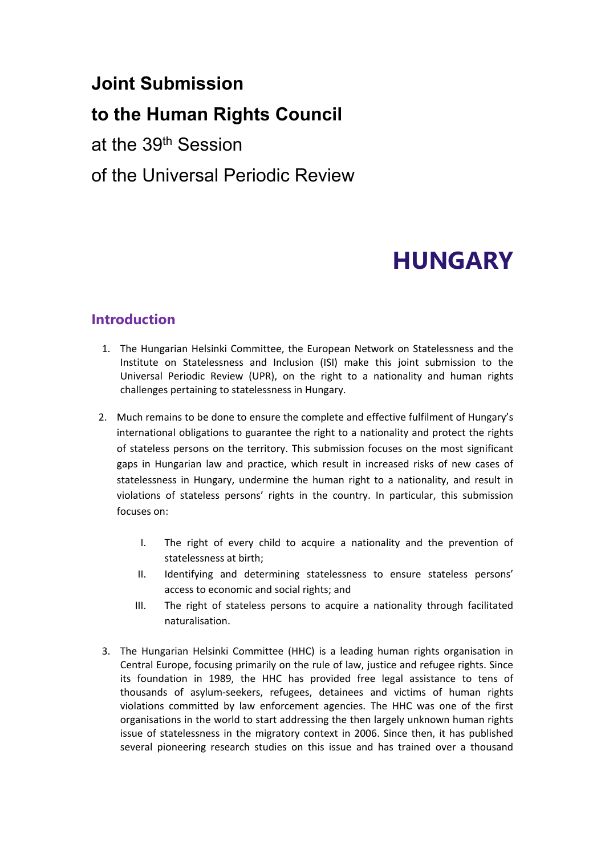# **Joint Submission**

# **to the Human Rights Council**

at the 39th Session

## of the Universal Periodic Review

# **HUNGARY**

## **Introduction**

- 1. The Hungarian Helsinki Committee, the European Network on Statelessness and the Institute on Statelessness and Inclusion (ISI) make this joint submission to the Universal Periodic Review (UPR), on the right to <sup>a</sup> nationality and human rights challenges pertaining to statelessness in Hungary.
- 2. Much remains to be done to ensure the complete and effective fulfilment of Hungary'<sup>s</sup> international obligations to guarantee the right to <sup>a</sup> nationality and protect the rights of stateless persons on the territory. This submission focuses on the most significant gaps in Hungarian law and practice, which result in increased risks of new cases of statelessness in Hungary, undermine the human right to <sup>a</sup> nationality, and result in violations of stateless persons' rights in the country. In particular, this submission focuses on:
	- I. The right of every child to acquire <sup>a</sup> nationality and the prevention of statelessness at birth;
	- II. Identifying and determining statelessness to ensure stateless persons' access to economic and social rights; and
	- III. The right of stateless persons to acquire <sup>a</sup> nationality through facilitated naturalisation.
- 3. The Hungarian Helsinki Committee (HHC) is <sup>a</sup> leading human rights organisation in Central Europe, focusing primarily on the rule of law, justice and refugee rights. Since its foundation in 1989, the HHC has provided free legal assistance to tens of thousands of asylum-seekers, refugees, detainees and victims of human rights violations committed by law enforcement agencies. The HHC was one of the first organisations in the world to start addressing the then largely unknown human rights issue of statelessness in the migratory context in 2006. Since then, it has published several pioneering research studies on this issue and has trained over <sup>a</sup> thousand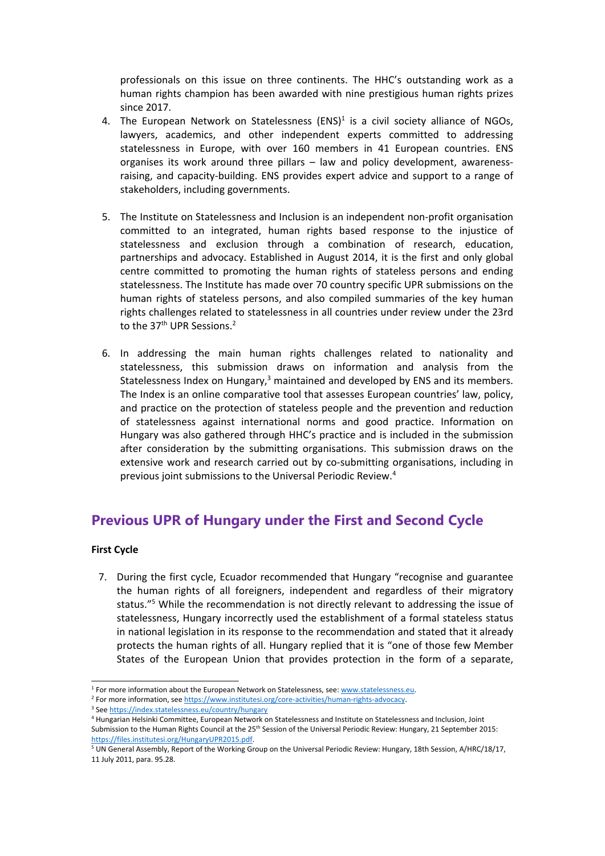professionals on this issue on three continents. The HHC'<sup>s</sup> outstanding work as <sup>a</sup> human rights champion has been awarded with nine prestigious human rights prizes since 2017.

- 4. The European Network on [Statelessness](http://www.statelessness.eu) (ENS)<sup>1</sup> is a civil society alliance of NGOs, lawyers, academics, and other independent experts committed to addressing statelessness in Europe, with over 160 members in 41 European countries. ENS organises its work around three pillars – law and policy development, awarenessraising, and capacity-building. ENS provides expert advice and support to <sup>a</sup> range of stakeholders, including governments.
- 5. The Institute on Statelessness and Inclusion is an independent non-profit organisation committed to an integrated, human rights based response to the injustice of statelessness and exclusion through <sup>a</sup> combination of research, education, partnerships and advocacy. Established in August 2014, it is the first and only global centre committed to promoting the human rights of stateless persons and ending statelessness. The Institute has made over 70 country specific UPR submissions on the human rights of stateless persons, and also compiled summaries of the key human rights challenges related to statelessness in all countries under review under the 23rd to the 37<sup>th</sup> UPR Sessions.<sup>2</sup>
- 6. In addressing the main human rights challenges related to nationality and statelessness, this submission draws on information and analysis from the Statelessness Index on Hungary, $^3$  maintained and developed by ENS and its members. The Index is an online comparative tool that assesses European countries' law, policy, and practice on the protection of stateless people and the prevention and reduction of statelessness against international norms and good practice. Information on Hungary was also gathered through HHC'<sup>s</sup> practice and is included in the submission after consideration by the submitting organisations. This submission draws on the extensive work and research carried out by co-submitting organisations, including in previous joint submissions to the Universal Periodic Review. 4

## **Previous UPR of Hungary under the First and Second Cycle**

#### **First Cycle**

7. During the first cycle, Ecuador recommended that Hungary "recognise and guarantee the human rights of all foreigners, independent and regardless of their migratory status."<sup>5</sup> While the recommendation is not directly relevant to addressing the issue of statelessness, Hungary incorrectly used the establishment of <sup>a</sup> formal stateless status in national legislation in its response to the recommendation and stated that it already protects the human rights of all. Hungary replied that it is "one of those few Member States of the European Union that provides protection in the form of <sup>a</sup> separate,

<sup>&</sup>lt;sup>1</sup> For more information about the European Network on Statelessness, see: [www.statelessness.eu](http://www.statelessness.eu).

<sup>2</sup> For more information, see <https://www.institutesi.org/core-activities/human-rights-advocacy>.

<sup>&</sup>lt;sup>3</sup> See <https://index.statelessness.eu/country/hungary>

<sup>4</sup> Hungarian Helsinki Committee, European Network on Statelessness and Institute on Statelessness and Inclusion, Joint Submission to the Human Rights Council at the 25<sup>th</sup> Session of the Universal Periodic Review: Hungary, 21 September 2015 <https://files.institutesi.org/HungaryUPR2015.pdf>.

<sup>5</sup> UN General Assembly, Report of the Working Group on the Universal Periodic Review: Hungary, 18th Session, A/HRC/18/17, 11 July 2011, para. 95.28.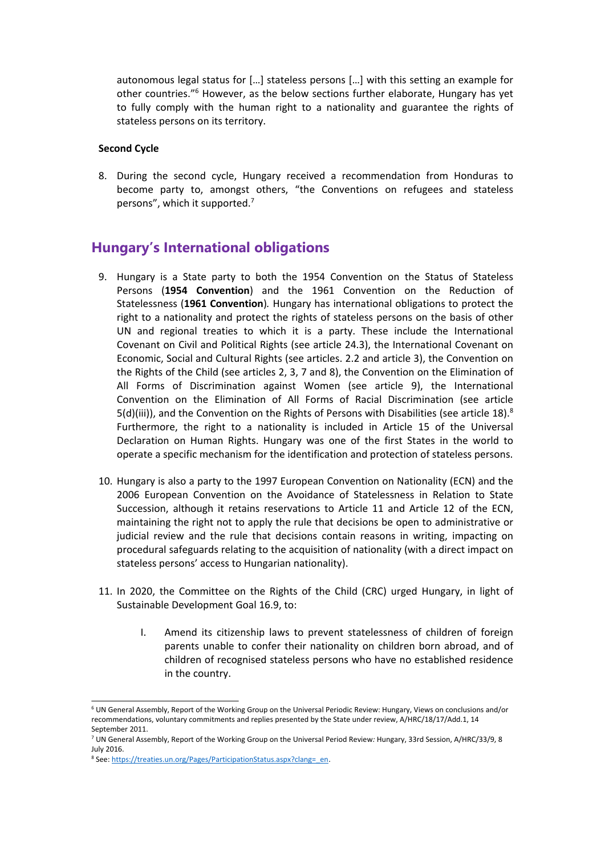autonomous legal status for […] stateless persons […] with this setting an example for other countries."<sup>6</sup> However, as the below sections further elaborate, Hungary has yet to fully comply with the human right to <sup>a</sup> nationality and guarantee the rights of stateless persons on its territory.

#### **Second Cycle**

8. During the second cycle, Hungary received <sup>a</sup> recommendation from Honduras to become party to, amongst others, "the Conventions on refugees and stateless persons", which it supported.<sup>7</sup>

## **Hungary'<sup>s</sup> International obligations**

- 9. Hungary is <sup>a</sup> State party to both the 1954 Convention on the Status of Stateless Persons (**1954 Convention**) and the 1961 Convention on the Reduction of Statelessness (**1961 Convention**)*.* Hungary has international obligations to protect the right to <sup>a</sup> nationality and protect the rights of stateless persons on the basis of other UN and regional treaties to which it is <sup>a</sup> party. These include the International Covenant on Civil and Political Rights (see article 24.3), the International Covenant on Economic, Social and Cultural Rights (see articles. 2.2 and article 3), the Convention on the Rights of the Child (see articles 2, 3, 7 and 8), the Convention on the Elimination of All Forms of Discrimination against Women (see article 9), the International Convention on the Elimination of All Forms of Racial Discrimination (see article 5(d)(iii)), and the Convention on the Rights of Persons with Disabilities (see article 18).<sup>8</sup> Furthermore, the right to <sup>a</sup> nationality is included in Article 15 of the Universal Declaration on Human Rights. Hungary was one of the first States in the world to operate <sup>a</sup> specific mechanism for the identification and protection of stateless persons.
- 10. Hungary is also <sup>a</sup> party to the 1997 European Convention on Nationality (ECN) and the 2006 European Convention on the Avoidance of Statelessness in Relation to State Succession, although it retains reservations to Article 11 and Article 12 of the ECN, maintaining the right not to apply the rule that decisions be open to administrative or judicial review and the rule that decisions contain reasons in writing, impacting on procedural safeguards relating to the acquisition of nationality (with <sup>a</sup> direct impact on stateless persons' access to Hungarian nationality).
- 11. In 2020, the Committee on the Rights of the Child (CRC) urged Hungary, in light of Sustainable Development Goal 16.9, to:
	- I. Amend its citizenship laws to prevent statelessness of children of foreign parents unable to confer their nationality on children born abroad, and of children of recognised stateless persons who have no established residence in the country.

<sup>6</sup> UN General Assembly, Report of the Working Group on the Universal Periodic Review: Hungary, Views on conclusions and/or recommendations, voluntary commitments and replies presented by the State under review, A/HRC/18/17/Add.1, 14 September 2011.

<sup>7</sup> UN General Assembly, Report of the Working Group on the Universal Period Review*:* Hungary, 33rd Session, A/HRC/33/9, 8 July 2016.

<sup>&</sup>lt;sup>8</sup> See: [https://treaties.un.org/Pages/ParticipationStatus.aspx?clang=\\_en](https://treaties.un.org/Pages/ParticipationStatus.aspx?clang=_en).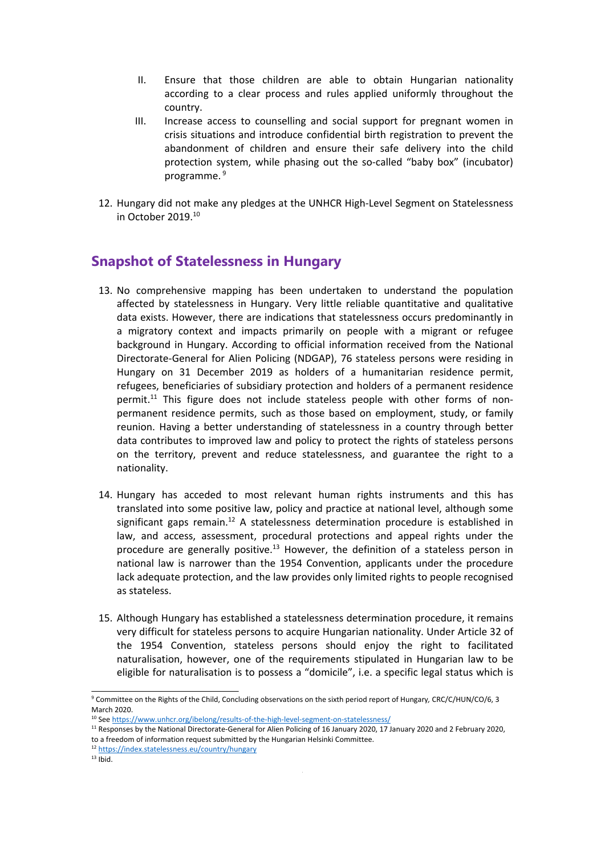- II. Ensure that those children are able to obtain Hungarian nationality according to <sup>a</sup> clear process and rules applied uniformly throughout the country.
- III. Increase access to counselling and social support for pregnant women in crisis situations and introduce confidential birth registration to prevent the abandonment of children and ensure their safe delivery into the child protection system, while phasing out the so-called "baby box" (incubator) programme. <sup>9</sup>
- 12. Hungary did not make any pledges at the UNHCR High-Level Segment on Statelessness in October 2019.<sup>10</sup>

## **Snapshot of Statelessness in Hungary**

- 13. No comprehensive mapping has been undertaken to understand the population affected by statelessness in Hungary. Very little reliable quantitative and qualitative data exists. However, there are indications that statelessness occurs predominantly in <sup>a</sup> migratory context and impacts primarily on people with <sup>a</sup> migrant or refugee background in Hungary. According to official information received from the National Directorate-General for Alien Policing (NDGAP), 76 stateless persons were residing in Hungary on 31 December 2019 as holders of <sup>a</sup> humanitarian residence permit, refugees, beneficiaries of subsidiary protection and holders of <sup>a</sup> permanent residence permit.<sup>11</sup> This figure does not include stateless people with other forms of nonpermanent residence permits, such as those based on employment, study, or family reunion. Having <sup>a</sup> better understanding of statelessness in <sup>a</sup> country through better data contributes to improved law and policy to protect the rights of stateless persons on the territory, prevent and reduce statelessness, and guarantee the right to <sup>a</sup> nationality.
- 14. Hungary has acceded to most relevant human rights instruments and this has translated into some positive law, policy and practice at national level, although some significant gaps remain.<sup>12</sup> A statelessness determination procedure is established in law, and access, assessment, procedural protections and appeal rights under the procedure are generally positive.<sup>13</sup> However, the definition of a stateless person in national law is narrower than the 1954 Convention, applicants under the procedure lack adequate protection, and the law provides only limited rights to people recognised as stateless.
- 15. Although Hungary has established <sup>a</sup> statelessness determination procedure, it remains very difficult for stateless persons to acquire Hungarian nationality. Under Article 32 of the 1954 Convention, stateless persons should enjoy the right to facilitated naturalisation, however, one of the requirements stipulated in Hungarian law to be eligible for naturalisation is to possess <sup>a</sup> "domicile", i.e. <sup>a</sup> specific legal status which is

<sup>9</sup> Committee on the Rights of the Child, Concluding observations on the sixth period report of Hungary*,* CRC/C/HUN/CO/6, 3 March 2020

<sup>&</sup>lt;sup>10</sup> See <https://www.unhcr.org/ibelong/results-of-the-high-level-segment-on-statelessness/>

<sup>&</sup>lt;sup>11</sup> Responses by the National Directorate-General for Alien Policing of 16 January 2020, 17 January 2020 and 2 February 2020 to <sup>a</sup> freedom of information request submitted by the Hungarian Helsinki Committee.

<sup>12</sup> <https://index.statelessness.eu/country/hungary>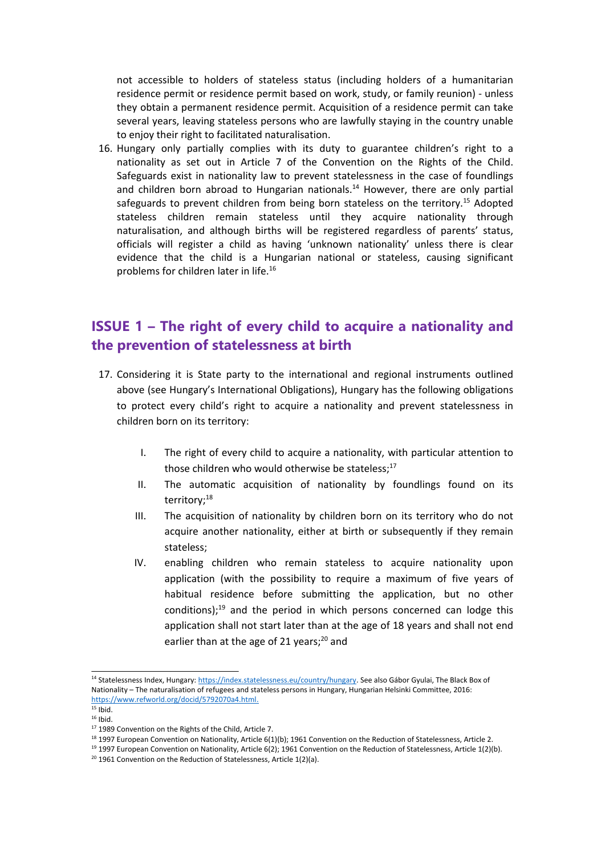not accessible to holders of stateless status (including holders of <sup>a</sup> humanitarian residence permit or residence permit based on work, study, or family reunion) - unless they obtain <sup>a</sup> permanent residence permit. Acquisition of <sup>a</sup> residence permit can take several years, leaving stateless persons who are lawfully staying in the country unable to enjoy their right to facilitated naturalisation.

16. Hungary only partially complies with its duty to guarantee children'<sup>s</sup> right to <sup>a</sup> nationality as set out in Article 7 of the Convention on the Rights of the Child. Safeguards exist in nationality law to prevent statelessness in the case of foundlings and children born abroad to Hungarian nationals.<sup>14</sup> However, there are only partial safeguards to prevent children from being born stateless on the territory.<sup>15</sup> Adopted stateless children remain stateless until they acquire nationality through naturalisation, and although births will be registered regardless of parents' status, officials will register <sup>a</sup> child as having 'unknown nationality' unless there is clear evidence that the child is <sup>a</sup> Hungarian national or stateless, causing significant problems for children later in life.<sup>16</sup>

## **ISSUE 1 – The right of every child to acquire <sup>a</sup> nationality and the prevention of statelessness at birth**

- 17. Considering it is State party to the international and regional instruments outlined above (see Hungary'<sup>s</sup> International Obligations), Hungary has the following obligations to protect every child'<sup>s</sup> right to acquire <sup>a</sup> nationality and prevent statelessness in children born on its territory:
	- I. The right of every child to acquire <sup>a</sup> nationality, with particular attention to those children who would otherwise be stateless;<sup>17</sup>
	- II. The automatic acquisition of nationality by foundlings found on its territory;<sup>18</sup>
	- III. The acquisition of nationality by children born on its territory who do not acquire another nationality, either at birth or subsequently if they remain stateless;
	- IV. enabling children who remain stateless to acquire nationality upon application (with the possibility to require <sup>a</sup> maximum of five years of habitual residence before submitting the application, but no other conditions);<sup>19</sup> and the period in which persons concerned can lodge this application shall not start later than at the age of 18 years and shall not end earlier than at the age of 21 years;<sup>20</sup> and

<sup>&</sup>lt;sup>14</sup> Statelessness Index, Hungary: <https://index.statelessness.eu/country/hungary>. See also Gábor Gyulai, The Black Box of Nationality – The naturalisation of refugees and stateless persons in Hungary, Hungarian Helsinki Committee, 2016: <https://www.refworld.org/docid/5792070a4.html>.

 $15$  Ibid.  $16$  Ibid.

<sup>&</sup>lt;sup>17</sup> 1989 Convention on the Rights of the Child, Article 7.

<sup>&</sup>lt;sup>18</sup> 1997 European Convention on Nationality, Article 6(1)(b); 1961 Convention on the Reduction of Statelessness, Article 2.

<sup>19</sup> 1997 European Convention on Nationality, Article 6(2); 1961 Convention on the Reduction of Statelessness, Article 1(2)(b).

 $20$  1961 Convention on the Reduction of Statelessness, Article 1(2)(a).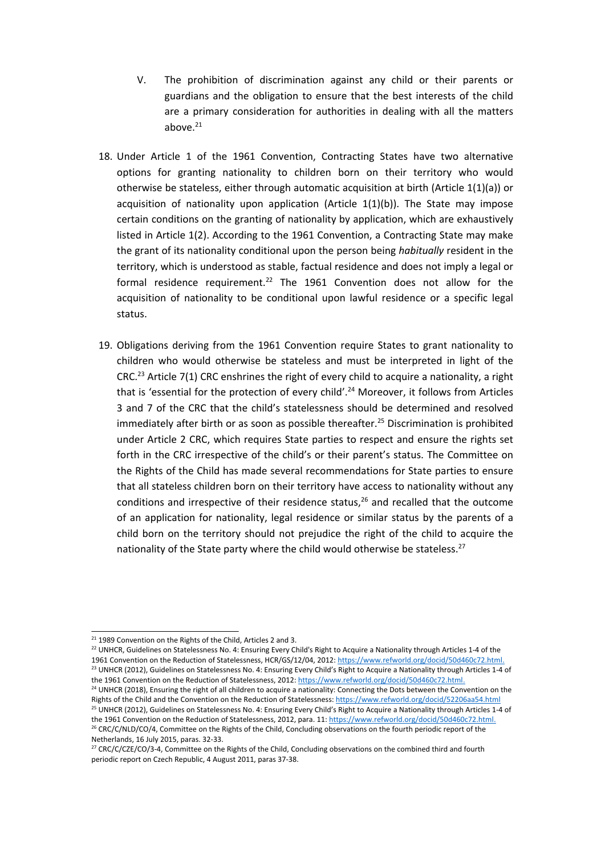- V. The prohibition of discrimination against any child or their parents or guardians and the obligation to ensure that the best interests of the child are <sup>a</sup> primary consideration for authorities in dealing with all the matters above.<sup>21</sup>
- 18. Under Article 1 of the 1961 Convention, Contracting States have two alternative options for granting nationality to children born on their territory who would otherwise be stateless, either through automatic acquisition at birth (Article 1(1)(a)) or acquisition of nationality upon application (Article  $1(1)(b)$ ). The State may impose certain conditions on the granting of nationality by application, which are exhaustively listed in Article 1(2). According to the 1961 Convention, <sup>a</sup> Contracting State may make the grant of its nationality conditional upon the person being *habitually* resident in the territory, which is understood as stable, factual residence and does not imply <sup>a</sup> legal or formal residence requirement.<sup>22</sup> The 1961 Convention does not allow for the acquisition of nationality to be conditional upon lawful residence or <sup>a</sup> specific legal status.
- 19. Obligations deriving from the 1961 Convention require States to grant nationality to children who would otherwise be stateless and must be interpreted in light of the CRC.<sup>23</sup> Article 7(1) CRC enshrines the right of every child to acquire a nationality, a right that is 'essential for the protection of every child'.<sup>24</sup> Moreover, it follows from Articles 3 and 7 of the CRC that the child'<sup>s</sup> statelessness should be determined and resolved immediately after birth or as soon as possible thereafter.<sup>25</sup> Discrimination is prohibited under Article 2 CRC, which requires State parties to respect and ensure the rights set forth in the CRC irrespective of the child'<sup>s</sup> or their parent'<sup>s</sup> status. The Committee on the Rights of the Child has made several recommendations for State parties to ensure that all stateless children born on their territory have access to nationality without any conditions and irrespective of their residence status,<sup>26</sup> and recalled that the outcome of an application for nationality, legal residence or similar status by the parents of <sup>a</sup> child born on the territory should not prejudice the right of the child to acquire the nationality of the State party where the child would otherwise be stateless.<sup>27</sup>

<sup>24</sup> UNHCR (2018), Ensuring the right of all children to acquire a nationality: Connecting the Dots between the Convention on the Rights of the Child and the Convention on the Reduction of Statelessness: <https://www.refworld.org/docid/52206aa54.html> <sup>25</sup> UNHCR (2012), Guidelines on Statelessness No. 4: Ensuring Every Child's Right to Acquire a Nationality through Articles 1-4 of the 1961 Convention on the Reduction of Statelessness, 2012, para. 11: <https://www.refworld.org/docid/50d460c72.html>.

<sup>&</sup>lt;sup>21</sup> 1989 Convention on the Rights of the Child, Articles 2 and 3.

 $^{22}$  UNHCR, Guidelines on Statelessness No. 4: Ensuring Every Child's Right to Acquire a Nationality through Articles 1-4 of the 1961 Convention on the Reduction of Statelessness, HCR/GS/12/04, 2012: <https://www.refworld.org/docid/50d460c72.html>. <sup>23</sup> UNHCR (2012), Guidelines on Statelessness No. 4: Ensuring Every Child's Right to Acquire a Nationality through Articles 1-4 of the 1961 Convention on the Reduction of Statelessness, 2012: <https://www.refworld.org/docid/50d460c72.html>.

<sup>&</sup>lt;sup>26</sup> CRC/C/NLD/CO/4, Committee on the Rights of the Child, Concluding observations on the fourth periodic report of the Netherlands, 16 July 2015, paras. 32-33.

<sup>&</sup>lt;sup>27</sup> CRC/C/CZE/CO/3-4, Committee on the Rights of the Child, Concluding observations on the combined third and fourth periodic report on Czech Republic, 4 August 2011, paras 37-38.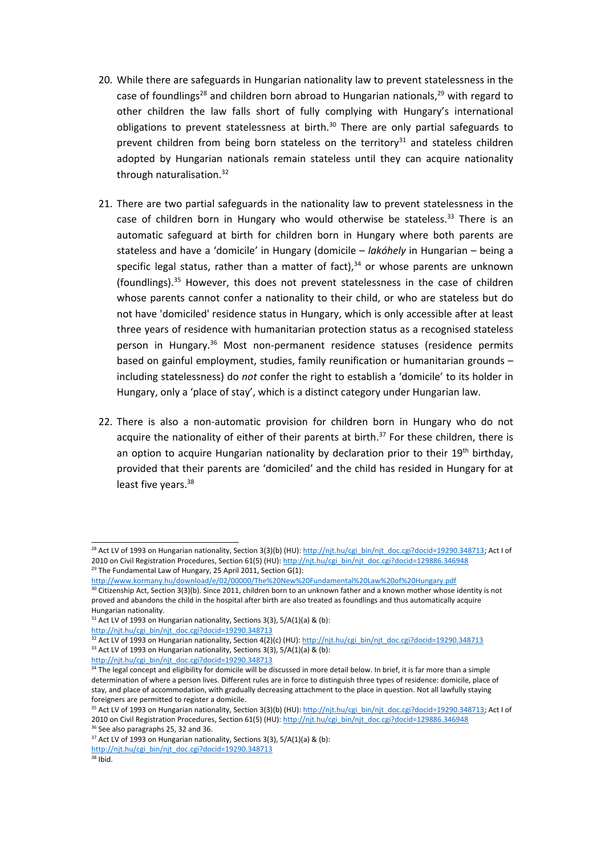- 20. While there are safeguards in Hungarian nationality law to prevent statelessness in the case of foundlings<sup>28</sup> and children born abroad to Hungarian nationals,<sup>29</sup> with regard to other children the law falls short of fully complying with Hungary'<sup>s</sup> international obligations to prevent statelessness at birth.<sup>30</sup> There are only partial safeguards to prevent children from being born stateless on the territory<sup>31</sup> and stateless children adopted by Hungarian nationals remain stateless until they can acquire nationality through naturalisation.<sup>32</sup>
- 21. There are two partial safeguards in the nationality law to prevent statelessness in the case of children born in Hungary who would otherwise be stateless.<sup>33</sup> There is an automatic safeguard at birth for children born in Hungary where both parents are stateless and have <sup>a</sup> 'domicile' in Hungary (domicile – *lakóhely* in Hungarian – being <sup>a</sup> specific legal status, rather than a matter of fact), $^{34}$  or whose parents are unknown (foundlings).<sup>35</sup> However, this does not prevent statelessness in the case of children whose parents cannot confer <sup>a</sup> nationality to their child, or who are stateless but do not have 'domiciled' residence status in Hungary, which is only accessible after at least three years of residence with humanitarian protection status as <sup>a</sup> recognised stateless person in Hungary.<sup>36</sup> Most non-permanent residence statuses (residence permits based on gainful employment, studies, family reunification or humanitarian grounds – including statelessness) do *not* confer the right to establish <sup>a</sup> 'domicile' to its holder in Hungary, only <sup>a</sup> 'place of stay', which is <sup>a</sup> distinct category under Hungarian law.
- 22. There is also <sup>a</sup> non-automatic provision for children born in Hungary who do not acquire the nationality of either of their parents at birth.<sup>37</sup> For these children, there is an option to acquire Hungarian nationality by declaration prior to their 19<sup>th</sup> birthday, provided that their parents are 'domiciled' and the child has resided in Hungary for at least five years.<sup>38</sup>

<sup>&</sup>lt;sup>28</sup> Act LV of 1993 on Hungarian nationality, Section 3(3)(b) (HU): [http://njt.hu/cgi\\_bin/njt\\_doc.cgi?docid=19290.348713](http://njt.hu/cgi_bin/njt_doc.cgi?docid=19290.348713); Act I of 2010 on Civil Registration Procedures, Section 61(5) (HU): [http://njt.hu/cgi\\_bin/njt\\_doc.cgi?docid=129886.346948](http://njt.hu/cgi_bin/njt_doc.cgi?docid=129886.346948) <sup>29</sup> The Fundamental Law of Hungary, 25 April 2011, Section G(1):

<http://www.kormany.hu/download/e/02/00000/The%20New%20Fundamental%20Law%20of%20Hungary.pdf>

 $^{30}$  Citizenship Act, Section 3(3)(b). Since 2011, children born to an unknown father and a known mother whose identity is not proved and abandons the child in the hospital after birth are also treated as foundlings and thus automatically acquire Hungarian nationality.

 $31$  Act LV of 1993 on Hungarian nationality, Sections 3(3), 5/A(1)(a) & (b):

[http://njt.hu/cgi\\_bin/njt\\_doc.cgi?docid=19290.348713](http://njt.hu/cgi_bin/njt_doc.cgi?docid=19290.348713)

<sup>&</sup>lt;sup>32</sup> Act LV of 1993 on Hungarian nationality, Section 4(2)(c) (HU): [http://njt.hu/cgi\\_bin/njt\\_doc.cgi?docid=19290.348713](http://njt.hu/cgi_bin/njt_doc.cgi?docid=19290.348713) <sup>33</sup> Act LV of 1993 on Hungarian nationality, Sections 3(3), 5/A(1)(a) & (b):

[http://njt.hu/cgi\\_bin/njt\\_doc.cgi?docid=19290.348713](http://njt.hu/cgi_bin/njt_doc.cgi?docid=19290.348713)

<sup>&</sup>lt;sup>34</sup> The legal concept and eligibility for domicile will be discussed in more detail below. In brief, it is far more than a simple determination of where <sup>a</sup> person lives. Different rules are in force to distinguish three types of residence: domicile, place of stay, and place of accommodation, with gradually decreasing attachment to the place in question. Not all lawfully staying foreigners are permitted to register <sup>a</sup> domicile.

<sup>&</sup>lt;sup>35</sup> Act LV of 1993 on Hungarian nationality, Section 3(3)(b) (HU): [http://njt.hu/cgi\\_bin/njt\\_doc.cgi?docid=19290.348713](http://njt.hu/cgi_bin/njt_doc.cgi?docid=19290.348713); Act I of 2010 on Civil Registration Procedures, Section 61(5) (HU): [http://njt.hu/cgi\\_bin/njt\\_doc.cgi?docid=129886.346948](http://njt.hu/cgi_bin/njt_doc.cgi?docid=129886.346948) <sup>36</sup> See also paragraphs 25, 32 and 36.

 $37$  Act LV of 1993 on Hungarian nationality, Sections 3(3), 5/A(1)(a) & (b):

[http://njt.hu/cgi\\_bin/njt\\_doc.cgi?docid=19290.348713](http://njt.hu/cgi_bin/njt_doc.cgi?docid=19290.348713) 38 Ibid.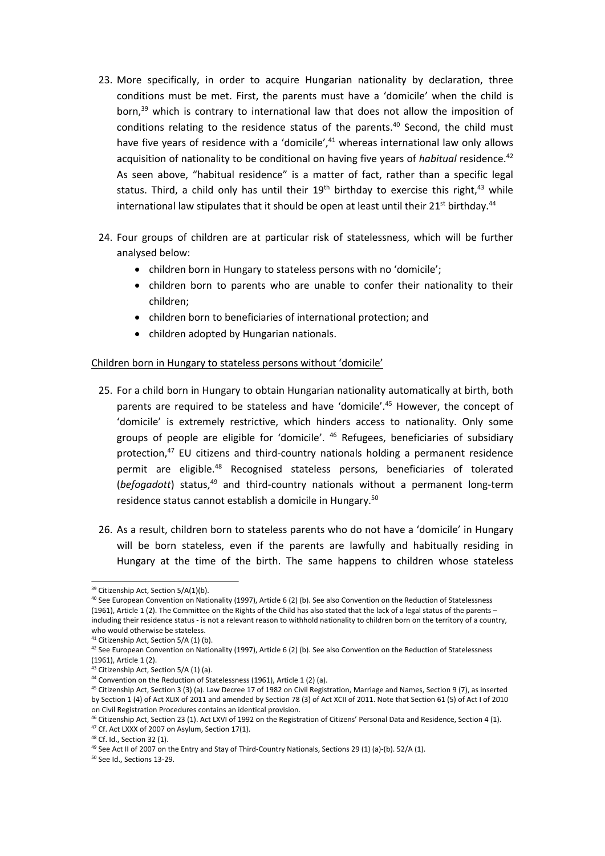- 23. More specifically, in order to acquire Hungarian nationality by declaration, three conditions must be met. First, the parents must have <sup>a</sup> 'domicile' when the child is born,<sup>39</sup> which is contrary to international law that does not allow the imposition of conditions relating to the residence status of the parents. 40 Second, the child must have five years of residence with a 'domicile',<sup>41</sup> whereas international law only allows acquisition of nationality to be conditional on having five years of *habitual* residence. 42 As seen above, "habitual residence" is <sup>a</sup> matter of fact, rather than <sup>a</sup> specific legal status. Third, a child only has until their  $19^{\text{th}}$  birthday to exercise this right, $^{43}$  while international law stipulates that it should be open at least until their 21<sup>st</sup> birthday.<sup>44</sup>
- 24. Four groups of children are at particular risk of statelessness, which will be further analysed below:
	- children born in Hungary to stateless persons with no 'domicile';
	- children born to parents who are unable to confer their nationality to their children;
	- children born to beneficiaries of international protection; and
	- children adopted by Hungarian nationals.

#### Children born in Hungary to stateless persons without 'domicile'

- 25. For <sup>a</sup> child born in Hungary to obtain Hungarian nationality automatically at birth, both parents are required to be stateless and have 'domicile'. 45 However, the concept of 'domicile' is extremely restrictive, which hinders access to nationality. Only some groups of people are eligible for 'domicile'. 46 Refugees, beneficiaries of subsidiary protection, 47 EU citizens and third-country nationals holding <sup>a</sup> permanent residence permit are eligible.<sup>48</sup> Recognised stateless persons, beneficiaries of tolerated (*befogadott*) status,<sup>49</sup> and third-country nationals without a permanent long-term residence status cannot establish a domicile in Hungary.<sup>50</sup>
- 26. As <sup>a</sup> result, children born to stateless parents who do not have <sup>a</sup> 'domicile' in Hungary will be born stateless, even if the parents are lawfully and habitually residing in Hungary at the time of the birth. The same happens to children whose stateless

<sup>&</sup>lt;sup>39</sup> Citizenship Act, Section 5/A(1)(b).

 $^{40}$  See European Convention on Nationality (1997), Article 6 (2) (b). See also Convention on the Reduction of Statelessness (1961), Article 1 (2). The Committee on the Rights of the Child has also stated that the lack of <sup>a</sup> legal status of the parents – including their residence status - is not <sup>a</sup> relevant reason to withhold nationality to children born on the territory of <sup>a</sup> country, who would otherwise be stateless.

<sup>&</sup>lt;sup>41</sup> Citizenship Act, Section 5/A (1) (b).

<sup>&</sup>lt;sup>42</sup> See European Convention on Nationality (1997), Article 6 (2) (b). See also Convention on the Reduction of Statelessness (1961), Article 1 (2).

<sup>&</sup>lt;sup>43</sup> Citizenship Act, Section 5/A (1) (a).

<sup>&</sup>lt;sup>44</sup> Convention on the Reduction of Statelessness (1961), Article 1 (2) (a).

<sup>&</sup>lt;sup>45</sup> Citizenship Act, Section 3 (3) (a). Law Decree 17 of 1982 on Civil Registration, Marriage and Names, Section 9 (7), as inserted by Section 1 (4) of Act XLIX of 2011 and amended by Section 78 (3) of Act XCII of 2011. Note that Section 61 (5) of Act I of 2010 on Civil Registration Procedures contains an identical provision.

<sup>&</sup>lt;sup>46</sup> Citizenship Act, Section 23 (1). Act LXVI of 1992 on the Registration of Citizens' Personal Data and Residence, Section 4 (1)

 $47$  Cf. Act LXXX of 2007 on Asylum, Section 17(1).

<sup>48</sup> Cf. Id., Section 32 (1).

<sup>&</sup>lt;sup>49</sup> See Act II of 2007 on the Entry and Stay of Third-Country Nationals, Sections 29 (1) (a)-(b). 52/A (1)

<sup>50</sup> See Id., Sections 13-29.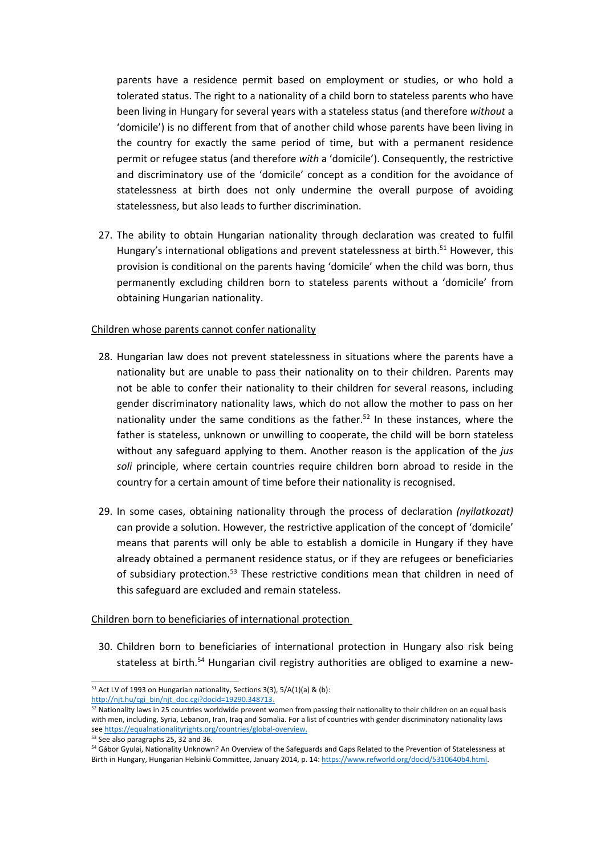parents have <sup>a</sup> residence permit based on employment or studies, or who hold <sup>a</sup> tolerated status. The right to <sup>a</sup> nationality of <sup>a</sup> child born to stateless parents who have been living in Hungary for several years with <sup>a</sup> stateless status (and therefore *without* <sup>a</sup> 'domicile') is no different from that of another child whose parents have been living in the country for exactly the same period of time, but with <sup>a</sup> permanent residence permit or refugee status (and therefore *with* <sup>a</sup> 'domicile'). Consequently, the restrictive and discriminatory use of the 'domicile' concept as <sup>a</sup> condition for the avoidance of statelessness at birth does not only undermine the overall purpose of avoiding statelessness, but also leads to further discrimination.

27. The ability to obtain Hungarian nationality through declaration was created to fulfil Hungary's international obligations and prevent statelessness at birth.<sup>51</sup> However, this provision is conditional on the parents having 'domicile' when the child was born, thus permanently excluding children born to stateless parents without <sup>a</sup> 'domicile' from obtaining Hungarian nationality.

#### Children whose parents cannot confer nationality

- 28. Hungarian law does not prevent statelessness in situations where the parents have <sup>a</sup> nationality but are unable to pass their nationality on to their children. Parents may not be able to confer their nationality to their children for several reasons, including gender discriminatory nationality laws, which do not allow the mother to pass on her nationality under the same conditions as the father.<sup>52</sup> In these instances, where the father is stateless, unknown or unwilling to cooperate, the child will be born stateless without any safeguard applying to them. Another reason is the application of the *jus soli* principle, where certain countries require children born abroad to reside in the country for <sup>a</sup> certain amount of time before their nationality is recognised.
- 29. In some cases, obtaining nationality through the process of declaration *(nyilatkozat)* can provide <sup>a</sup> solution. However, the restrictive application of the concept of 'domicile' means that parents will only be able to establish <sup>a</sup> domicile in Hungary if they have already obtained <sup>a</sup> permanent residence status, or if they are refugees or beneficiaries of subsidiary protection.<sup>53</sup> These restrictive conditions mean that children in need of this safeguard are excluded and remain stateless.

#### Children born to beneficiaries of international protection

30. Children born to beneficiaries of international protection in Hungary also risk being stateless at birth.<sup>54</sup> Hungarian civil registry authorities are obliged to examine a new-

 $51$  Act LV of 1993 on Hungarian nationality, Sections 3(3), 5/A(1)(a) & (b): [http://njt.hu/cgi\\_bin/njt\\_doc.cgi?docid=19290.348713](http://njt.hu/cgi_bin/njt_doc.cgi?docid=19290.348713).

 $52$  Nationality laws in 25 countries worldwide prevent women from passing their nationality to their children on an equal basis with men, including, Syria, Lebanon, Iran, Iraq and Somalia. For <sup>a</sup> list of countries with gender discriminatory nationality laws see <https://equalnationalityrights.org/countries/global-overview>.

<sup>&</sup>lt;sup>53</sup> See also paragraphs 25, 32 and 36.

<sup>&</sup>lt;sup>54</sup> Gábor Gyulai, Nationality Unknown? An Overview of the Safeguards and Gaps Related to the Prevention of Statelessness at Birth in Hungary, Hungarian Helsinki Committee, January 2014, p. 14: <https://www.refworld.org/docid/5310640b4.html>.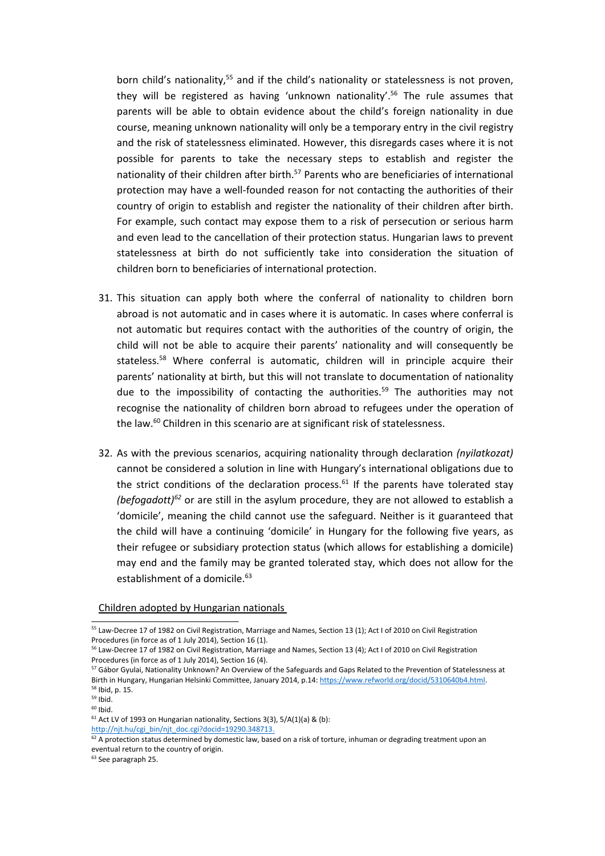born child's nationality,<sup>55</sup> and if the child's nationality or statelessness is not proven, they will be registered as having 'unknown nationality'. 56 The rule assumes that parents will be able to obtain evidence about the child'<sup>s</sup> foreign nationality in due course, meaning unknown nationality will only be <sup>a</sup> temporary entry in the civil registry and the risk of statelessness eliminated. However, this disregards cases where it is not possible for parents to take the necessary steps to establish and register the nationality of their children after birth.<sup>57</sup> Parents who are beneficiaries of international protection may have <sup>a</sup> well-founded reason for not contacting the authorities of their country of origin to establish and register the nationality of their children after birth. For example, such contact may expose them to <sup>a</sup> risk of persecution or serious harm and even lead to the cancellation of their protection status. Hungarian laws to prevent statelessness at birth do not sufficiently take into consideration the situation of children born to beneficiaries of international protection.

- 31. This situation can apply both where the conferral of nationality to children born abroad is not automatic and in cases where it is automatic. In cases where conferral is not automatic but requires contact with the authorities of the country of origin, the child will not be able to acquire their parents' nationality and will consequently be stateless. <sup>58</sup> Where conferral is automatic, children will in principle acquire their parents' nationality at birth, but this will not translate to documentation of nationality due to the impossibility of contacting the authorities.<sup>59</sup> The authorities may not recognise the nationality of children born abroad to refugees under the operation of the law.<sup>60</sup> Children in this scenario are at significant risk of statelessness.
- 32. As with the previous scenarios, acquiring nationality through declaration *(nyilatkozat)* cannot be considered <sup>a</sup> solution in line with Hungary'<sup>s</sup> international obligations due to the strict conditions of the declaration process.<sup>61</sup> If the parents have tolerated stay (befogadott)<sup>62</sup> or are still in the asylum procedure, they are not allowed to establish a 'domicile', meaning the child cannot use the safeguard. Neither is it guaranteed that the child will have <sup>a</sup> continuing 'domicile' in Hungary for the following five years, as their refugee or subsidiary protection status (which allows for establishing <sup>a</sup> domicile) may end and the family may be granted tolerated stay, which does not allow for the establishment of a domicile.<sup>63</sup>

#### Children adopted by Hungarian nationals

[http://njt.hu/cgi\\_bin/njt\\_doc.cgi?docid=19290.348713](http://njt.hu/cgi_bin/njt_doc.cgi?docid=19290.348713).

 $^{62}$  A protection status determined by domestic law, based on a risk of torture, inhuman or degrading treatment upon ar eventual return to the country of origin.

<sup>63</sup> See paragraph 25.

<sup>&</sup>lt;sup>55</sup> Law-Decree 17 of 1982 on Civil Registration, Marriage and Names, Section 13 (1); Act I of 2010 on Civil Registration Procedures (in force as of 1 July 2014), Section 16 (1).

<sup>&</sup>lt;sup>56</sup> Law-Decree 17 of 1982 on Civil Registration, Marriage and Names, Section 13 (4); Act I of 2010 on Civil Registration Procedures (in force as of 1 July 2014), Section 16 (4).

<sup>&</sup>lt;sup>57</sup> Gábor Gyulai, Nationality Unknown? An Overview of the Safeguards and Gaps Related to the Prevention of Statelessness at Birth in Hungary, Hungarian Helsinki Committee, January 2014, p.14: <https://www.refworld.org/docid/5310640b4.html>. 58 Ibid, p. 15.

<sup>&</sup>lt;sup>59</sup> Ibid.

<sup>&</sup>lt;sup>60</sup> Ibid.

 $61$  Act LV of 1993 on Hungarian nationality, Sections 3(3), 5/A(1)(a) & (b):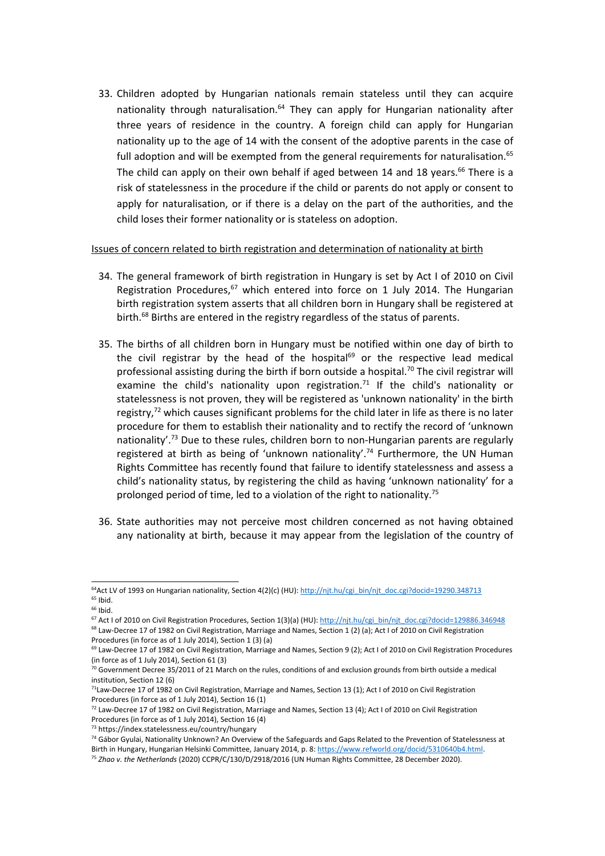33. Children adopted by Hungarian nationals remain stateless until they can acquire nationality through naturalisation.<sup>64</sup> They can apply for Hungarian nationality after three years of residence in the country. A foreign child can apply for Hungarian nationality up to the age of 14 with the consent of the adoptive parents in the case of full adoption and will be exempted from the general requirements for naturalisation.<sup>65</sup> The child can apply on their own behalf if aged between 14 and 18 years.<sup>66</sup> There is a risk of statelessness in the procedure if the child or parents do not apply or consent to apply for naturalisation, or if there is <sup>a</sup> delay on the part of the authorities, and the child loses their former nationality or is stateless on adoption.

#### Issues of concern related to birth registration and determination of nationality at birth

- 34. The general framework of birth registration in Hungary is set by Act I of 2010 on Civil Registration Procedures, $^{67}$  which entered into force on 1 July 2014. The Hungarian birth registration system asserts that all children born in Hungary shall be registered at birth.<sup>68</sup> Births are entered in the registry regardless of the status of parents.
- 35. The births of all children born in Hungary must be notified within one day of birth to the civil registrar by the head of the hospital<sup>69</sup> or the respective lead medical professional assisting during the birth if born outside a hospital.<sup>70</sup> The civil registrar will examine the child's nationality upon registration.<sup>71</sup> If the child's nationality or statelessness is not proven, they will be registered as 'unknown nationality' in the birth registry,<sup>72</sup> which causes significant problems for the child later in life as there is no later procedure for them to establish their nationality and to rectify the record of 'unknown nationality'.<sup>73</sup> Due to these rules, children born to non-Hungarian parents are regularly registered at birth as being of 'unknown nationality'.<sup>74</sup> Furthermore, the UN Human Rights Committee has recently found that failure to identify statelessness and assess <sup>a</sup> child'<sup>s</sup> nationality status, by registering the child as having 'unknown nationality' for <sup>a</sup> prolonged period of time, led to a violation of the right to nationality.<sup>75</sup>
- 36. State authorities may not perceive most children concerned as not having obtained any nationality at birth, because it may appear from the legislation of the country of

<sup>66</sup> Ibid.

<sup>68</sup> Law-Decree 17 of 1982 on Civil Registration, Marriage and Names, Section 1 (2) (a); Act I of 2010 on Civil Registratior Procedures (in force as of 1 July 2014), Section 1 (3) (a)

<sup>&</sup>lt;sup>64</sup>Act LV of 1993 on Hungarian nationality, Section 4(2)(c) (HU): [http://njt.hu/cgi\\_bin/njt\\_doc.cgi?docid=19290.348713](http://njt.hu/cgi_bin/njt_doc.cgi?docid=19290.348713) <sup>65</sup> Ibid.

<sup>&</sup>lt;sup>67</sup> Act I of 2010 on Civil Registration Procedures, Section 1(3)(a) (HU): [http://njt.hu/cgi\\_bin/njt\\_doc.cgi?docid=129886.346948](http://njt.hu/cgi_bin/njt_doc.cgi?docid=129886.346948)

<sup>&</sup>lt;sup>69</sup> Law-Decree 17 of 1982 on Civil Registration, Marriage and Names, Section 9 (2); Act I of 2010 on Civil Registration Procedures (in force as of 1 July 2014), Section 61 (3)

 $^{70}$  Government Decree 35/2011 of 21 March on the rules, conditions of and exclusion grounds from birth outside a medical institution, Section 12 (6)

<sup>&</sup>lt;sup>71</sup> Law-Decree 17 of 1982 on Civil Registration, Marriage and Names, Section 13 (1); Act I of 2010 on Civil Registration Procedures (in force as of 1 July 2014), Section 16 (1)

<sup>&</sup>lt;sup>72</sup> Law-Decree 17 of 1982 on Civil Registration, Marriage and Names, Section 13 (4); Act I of 2010 on Civil Registration Procedures (in force as of 1 July 2014), Section 16 (4)

<sup>73</sup> https://index.statelessness.eu/country/hungary

<sup>&</sup>lt;sup>74</sup> Gábor Gyulai, Nationality Unknown? An Overview of the Safeguards and Gaps Related to the Prevention of Statelessness at Birth in Hungary, Hungarian Helsinki Committee, January 2014, p. 8: <https://www.refworld.org/docid/5310640b4.html>.

<sup>75</sup> *Zhao v. the Netherlands* (2020) CCPR/C/130/D/2918/2016 (UN Human Rights Committee, 28 December 2020).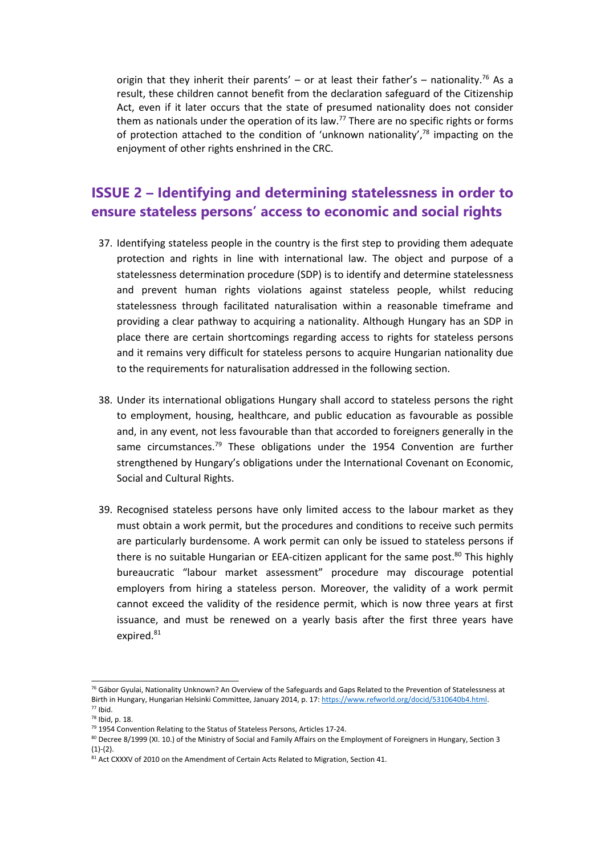origin that they inherit their parents' – or at least their father's – nationality.<sup>76</sup> As a result, these children cannot benefit from the declaration safeguard of the Citizenship Act, even if it later occurs that the state of presumed nationality does not consider them as nationals under the operation of its law.<sup>77</sup> There are no specific rights or forms of protection attached to the condition of 'unknown nationality',<sup>78</sup> impacting on the enjoyment of other rights enshrined in the CRC.

## **ISSUE 2 – Identifying and determining statelessness in order to ensure stateless persons' access to economic and social rights**

- 37. Identifying stateless people in the country is the first step to providing them adequate protection and rights in line with international law. The object and purpose of <sup>a</sup> statelessness determination procedure (SDP) is to identify and determine statelessness and prevent human rights violations against stateless people, whilst reducing statelessness through facilitated naturalisation within <sup>a</sup> reasonable timeframe and providing <sup>a</sup> clear pathway to acquiring <sup>a</sup> nationality. Although Hungary has an SDP in place there are certain shortcomings regarding access to rights for stateless persons and it remains very difficult for stateless persons to acquire Hungarian nationality due to the requirements for naturalisation addressed in the following section.
- 38. Under its international obligations Hungary shall accord to stateless persons the right to employment, housing, healthcare, and public education as favourable as possible and, in any event, not less favourable than that accorded to foreigners generally in the same circumstances.<sup>79</sup> These obligations under the 1954 Convention are further strengthened by Hungary'<sup>s</sup> obligations under the International Covenant on Economic, Social and Cultural Rights.
- 39. Recognised stateless persons have only limited access to the labour market as they must obtain <sup>a</sup> work permit, but the procedures and conditions to receive such permits are particularly burdensome. A work permit can only be issued to stateless persons if there is no suitable Hungarian or EEA-citizen applicant for the same post.<sup>80</sup> This highly bureaucratic "labour market assessment" procedure may discourage potential employers from hiring <sup>a</sup> stateless person. Moreover, the validity of <sup>a</sup> work permit cannot exceed the validity of the residence permit, which is now three years at first issuance, and must be renewed on <sup>a</sup> yearly basis after the first three years have expired.<sup>81</sup>

<sup>&</sup>lt;sup>76</sup> Gábor Gyulai, Nationality Unknown? An Overview of the Safeguards and Gaps Related to the Prevention of Statelessness at Birth in Hungary, Hungarian Helsinki Committee, January 2014, p. 17: <https://www.refworld.org/docid/5310640b4.html>.  $77$  Ibid.

<sup>78</sup> Ibid, p. 18.

<sup>&</sup>lt;sup>79</sup> 1954 Convention Relating to the Status of Stateless Persons, Articles 17-24.

<sup>&</sup>lt;sup>80</sup> Decree 8/1999 (XI. 10.) of the Ministry of Social and Family Affairs on the Employment of Foreigners in Hungary, Section 3  $(1)-(2)$ .

<sup>&</sup>lt;sup>81</sup> Act CXXXV of 2010 on the Amendment of Certain Acts Related to Migration, Section 41.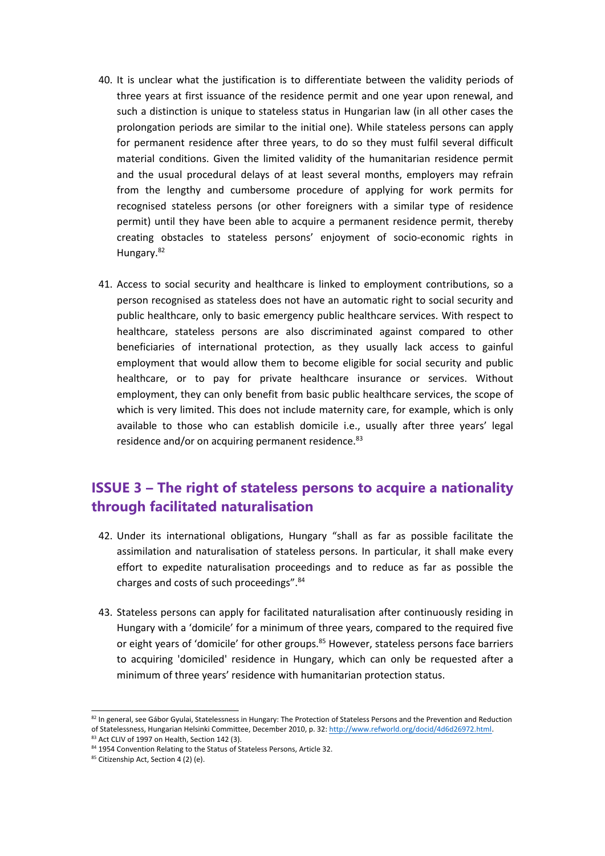- 40. It is unclear what the justification is to differentiate between the validity periods of three years at first issuance of the residence permit and one year upon renewal, and such <sup>a</sup> distinction is unique to stateless status in Hungarian law (in all other cases the prolongation periods are similar to the initial one). While stateless persons can apply for permanent residence after three years, to do so they must fulfil several difficult material conditions. Given the limited validity of the humanitarian residence permit and the usual procedural delays of at least several months, employers may refrain from the lengthy and cumbersome procedure of applying for work permits for recognised stateless persons (or other foreigners with <sup>a</sup> similar type of residence permit) until they have been able to acquire <sup>a</sup> permanent residence permit, thereby creating obstacles to stateless persons' enjoyment of socio-economic rights in Hungary.<sup>82</sup>
- 41. Access to social security and healthcare is linked to employment contributions, so <sup>a</sup> person recognised as stateless does not have an automatic right to social security and public healthcare, only to basic emergency public healthcare services. With respect to healthcare, stateless persons are also discriminated against compared to other beneficiaries of international protection, as they usually lack access to gainful employment that would allow them to become eligible for social security and public healthcare, or to pay for private healthcare insurance or services. Without employment, they can only benefit from basic public healthcare services, the scope of which is very limited. This does not include maternity care, for example, which is only available to those who can establish domicile i.e., usually after three years' legal residence and/or on acquiring permanent residence.<sup>83</sup>

## **ISSUE 3 – The right of stateless persons to acquire <sup>a</sup> nationality through facilitated naturalisation**

- 42. Under its international obligations, Hungary "shall as far as possible facilitate the assimilation and naturalisation of stateless persons. In particular, it shall make every effort to expedite naturalisation proceedings and to reduce as far as possible the charges and costs of such proceedings". 84
- 43. Stateless persons can apply for facilitated naturalisation after continuously residing in Hungary with <sup>a</sup> 'domicile' for <sup>a</sup> minimum of three years, compared to the required five or eight years of 'domicile' for other groups.<sup>85</sup> However, stateless persons face barriers to acquiring 'domiciled' residence in Hungary, which can only be requested after <sup>a</sup> minimum of three years' residence with humanitarian protection status.

<sup>&</sup>lt;sup>82</sup> In general, see Gábor Gyulai, Statelessness in Hungary: The Protection of Stateless Persons and the Prevention and Reductior of Statelessness, Hungarian Helsinki Committee, December 2010, p. 32: <http://www.refworld.org/docid/4d6d26972.html>.  $83$  Act CLIV of 1997 on Health, Section 142 (3).

<sup>&</sup>lt;sup>84</sup> 1954 Convention Relating to the Status of Stateless Persons, Article 32.

<sup>85</sup> Citizenship Act, Section 4 (2) (e).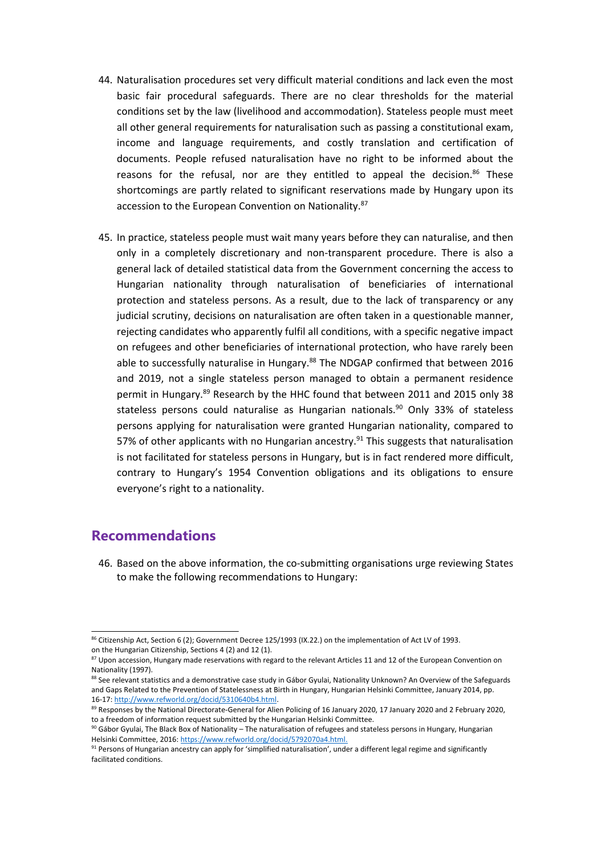- 44. Naturalisation procedures set very difficult material conditions and lack even the most basic fair procedural safeguards. There are no clear thresholds for the material conditions set by the law (livelihood and accommodation). Stateless people must meet all other general requirements for naturalisation such as passing <sup>a</sup> constitutional exam, income and language requirements, and costly translation and certification of documents. People refused naturalisation have no right to be informed about the reasons for the refusal, nor are they entitled to appeal the decision.<sup>86</sup> These shortcomings are partly related to significant reservations made by Hungary upon its accession to the European Convention on Nationality.<sup>87</sup>
- 45. In practice, stateless people must wait many years before they can naturalise, and then only in <sup>a</sup> completely discretionary and non-transparent procedure. There is also <sup>a</sup> general lack of detailed statistical data from the Government concerning the access to Hungarian nationality through naturalisation of beneficiaries of international protection and stateless persons. As <sup>a</sup> result, due to the lack of transparency or any judicial scrutiny, decisions on naturalisation are often taken in <sup>a</sup> questionable manner, rejecting candidates who apparently fulfil all conditions, with <sup>a</sup> specific negative impact on refugees and other beneficiaries of international protection, who have rarely been able to successfully naturalise in Hungary.<sup>88</sup> The NDGAP confirmed that between 2016 and 2019, not <sup>a</sup> single stateless person managed to obtain <sup>a</sup> permanent residence permit in Hungary.<sup>89</sup> Research by the HHC found that between 2011 and 2015 only 38 stateless persons could naturalise as Hungarian nationals.<sup>90</sup> Only 33% of stateless persons applying for naturalisation were granted Hungarian nationality, compared to 57% of other applicants with no Hungarian ancestry.<sup>91</sup> This suggests that naturalisation is not facilitated for stateless persons in Hungary, but is in fact rendered more difficult, contrary to Hungary'<sup>s</sup> 1954 Convention obligations and its obligations to ensure everyone'<sup>s</sup> right to <sup>a</sup> nationality.

## **Recommendations**

46. Based on the above information, the co-submitting organisations urge reviewing States to make the following recommendations to Hungary:

<sup>&</sup>lt;sup>86</sup> Citizenship Act, Section 6 (2); Government Decree 125/1993 (IX.22.) on the implementation of Act LV of 1993. on the Hungarian Citizenship, Sections 4 (2) and 12 (1).

<sup>&</sup>lt;sup>87</sup> Upon accession, Hungary made reservations with regard to the relevant Articles 11 and 12 of the European Convention on Nationality (1997).

<sup>&</sup>lt;sup>88</sup> See relevant statistics and a demonstrative case study in Gábor Gyulai, Nationality Unknown? An Overview of the Safeguards and Gaps Related to the Prevention of Statelessness at Birth in Hungary, Hungarian Helsinki Committee, January 2014, pp. 16-17: <http://www.refworld.org/docid/5310640b4.html>.

<sup>&</sup>lt;sup>89</sup> Responses by the National Directorate-General for Alien Policing of 16 January 2020, 17 January 2020 and 2 February 2020 to <sup>a</sup> freedom of information request submitted by the Hungarian Helsinki Committee.

 $90$  Gábor Gyulai, The Black Box of Nationality – The naturalisation of refugees and stateless persons in Hungary, Hungariar Helsinki Committee, 2016: <https://www.refworld.org/docid/5792070a4.html>.

<sup>&</sup>lt;sup>91</sup> Persons of Hungarian ancestry can apply for 'simplified naturalisation', under a different legal regime and significantly facilitated conditions.